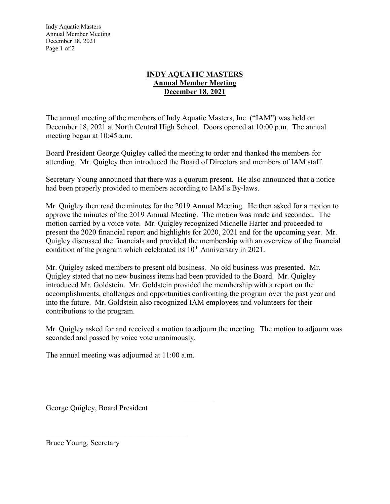Indy Aquatic Masters Annual Member Meeting December 18, 2021 Page 1 of 2

## **INDY AQUATIC MASTERS Annual Member Meeting December 18, 2021**

The annual meeting of the members of Indy Aquatic Masters, Inc. ("IAM") was held on December 18, 2021 at North Central High School. Doors opened at 10:00 p.m. The annual meeting began at 10:45 a.m.

Board President George Quigley called the meeting to order and thanked the members for attending. Mr. Quigley then introduced the Board of Directors and members of IAM staff.

Secretary Young announced that there was a quorum present. He also announced that a notice had been properly provided to members according to IAM's By-laws.

Mr. Quigley then read the minutes for the 2019 Annual Meeting. He then asked for a motion to approve the minutes of the 2019 Annual Meeting. The motion was made and seconded. The motion carried by a voice vote. Mr. Quigley recognized Michelle Harter and proceeded to present the 2020 financial report and highlights for 2020, 2021 and for the upcoming year. Mr. Quigley discussed the financials and provided the membership with an overview of the financial condition of the program which celebrated its  $10<sup>th</sup>$  Anniversary in 2021.

Mr. Quigley asked members to present old business. No old business was presented. Mr. Quigley stated that no new business items had been provided to the Board. Mr. Quigley introduced Mr. Goldstein. Mr. Goldstein provided the membership with a report on the accomplishments, challenges and opportunities confronting the program over the past year and into the future. Mr. Goldstein also recognized IAM employees and volunteers for their contributions to the program.

Mr. Quigley asked for and received a motion to adjourn the meeting. The motion to adjourn was seconded and passed by voice vote unanimously.

The annual meeting was adjourned at 11:00 a.m.

 $\mathcal{L}_\text{max}$  and  $\mathcal{L}_\text{max}$  and  $\mathcal{L}_\text{max}$  and  $\mathcal{L}_\text{max}$ 

George Quigley, Board President

Bruce Young, Secretary